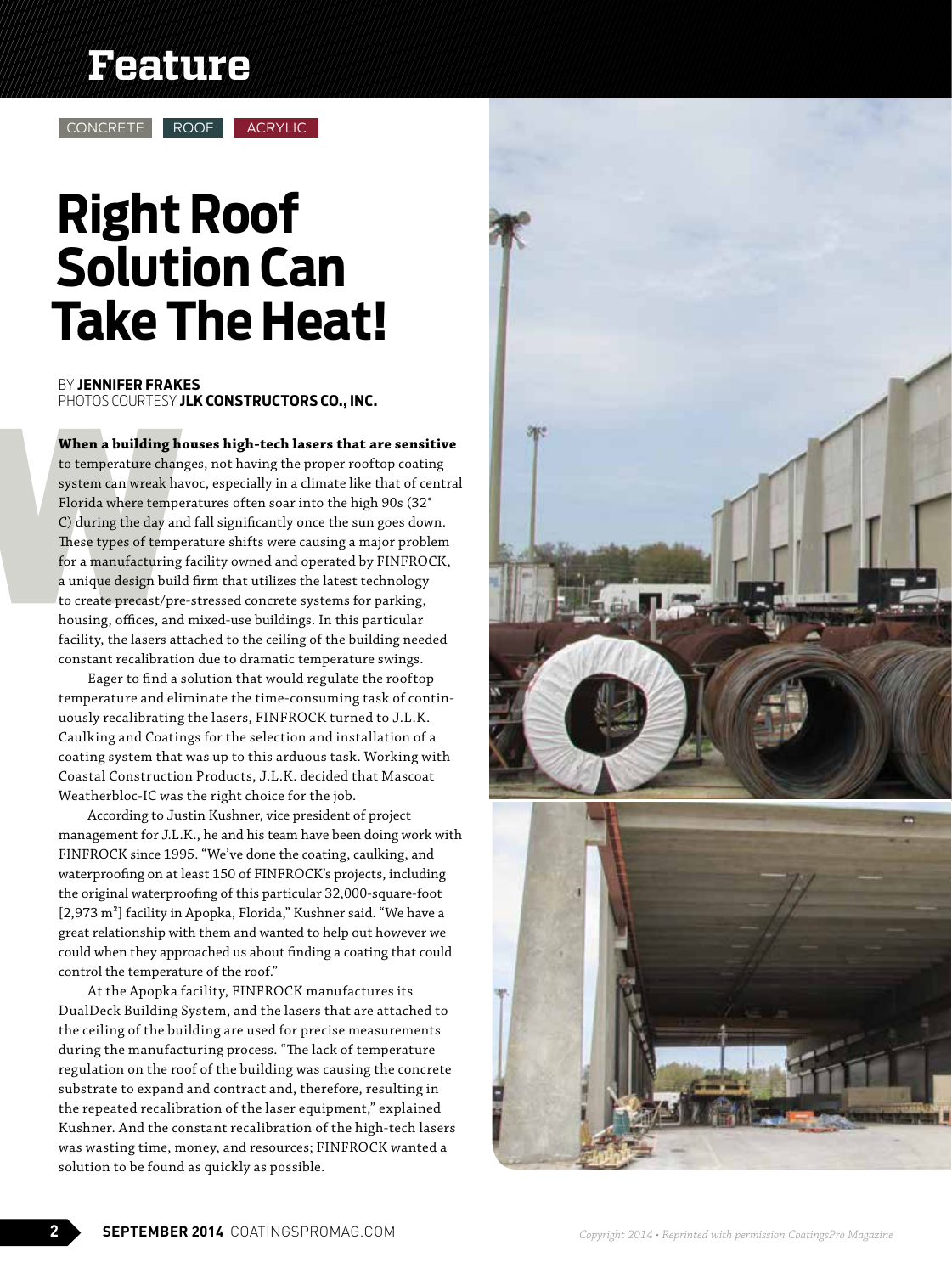## **Feature**

CONCRETE ROOF ACRYLIC

# **Right Roof Solution Can Take The Heat!**

PHOTOS COURTESY **JLK CONSTRUCTORS CO., INC.** BY **JENNIFER FRAKES**

**When a building houses high-tech lasers that are sensitive**

When a building ho<br>to temperature chang<br>system can wreak have<br>Florida where temper<br>C) during the day and<br>These types of tempe<br>for a manufacturing i<br>a unique design build<br>to create precast/pre-<br>housing, offices, and<br>facilit to temperature changes, not having the proper rooftop coating system can wreak havoc, especially in a climate like that of central Florida where temperatures often soar into the high 90s (32° C) during the day and fall significantly once the sun goes down. These types of temperature shifts were causing a major problem for a manufacturing facility owned and operated by FINFROCK, a unique design build firm that utilizes the latest technology to create precast/pre-stressed concrete systems for parking, housing, offices, and mixed-use buildings. In this particular facility, the lasers attached to the ceiling of the building needed constant recalibration due to dramatic temperature swings.

> Eager to find a solution that would regulate the rooftop temperature and eliminate the time-consuming task of continuously recalibrating the lasers, FINFROCK turned to J.L.K. Caulking and Coatings for the selection and installation of a coating system that was up to this arduous task. Working with Coastal Construction Products, J.L.K. decided that Mascoat Weatherbloc-IC was the right choice for the job.

According to Justin Kushner, vice president of project management for J.L.K., he and his team have been doing work with FINFROCK since 1995. "We've done the coating, caulking, and waterproofing on at least 150 of FINFROCK's projects, including the original waterproofing of this particular 32,000-square-foot [2,973 m²] facility in Apopka, Florida," Kushner said. "We have a great relationship with them and wanted to help out however we could when they approached us about finding a coating that could control the temperature of the roof."

At the Apopka facility, FINFROCK manufactures its DualDeck Building System, and the lasers that are attached to the ceiling of the building are used for precise measurements during the manufacturing process. "The lack of temperature regulation on the roof of the building was causing the concrete substrate to expand and contract and, therefore, resulting in the repeated recalibration of the laser equipment," explained Kushner. And the constant recalibration of the high-tech lasers was wasting time, money, and resources; FINFROCK wanted a solution to be found as quickly as possible.



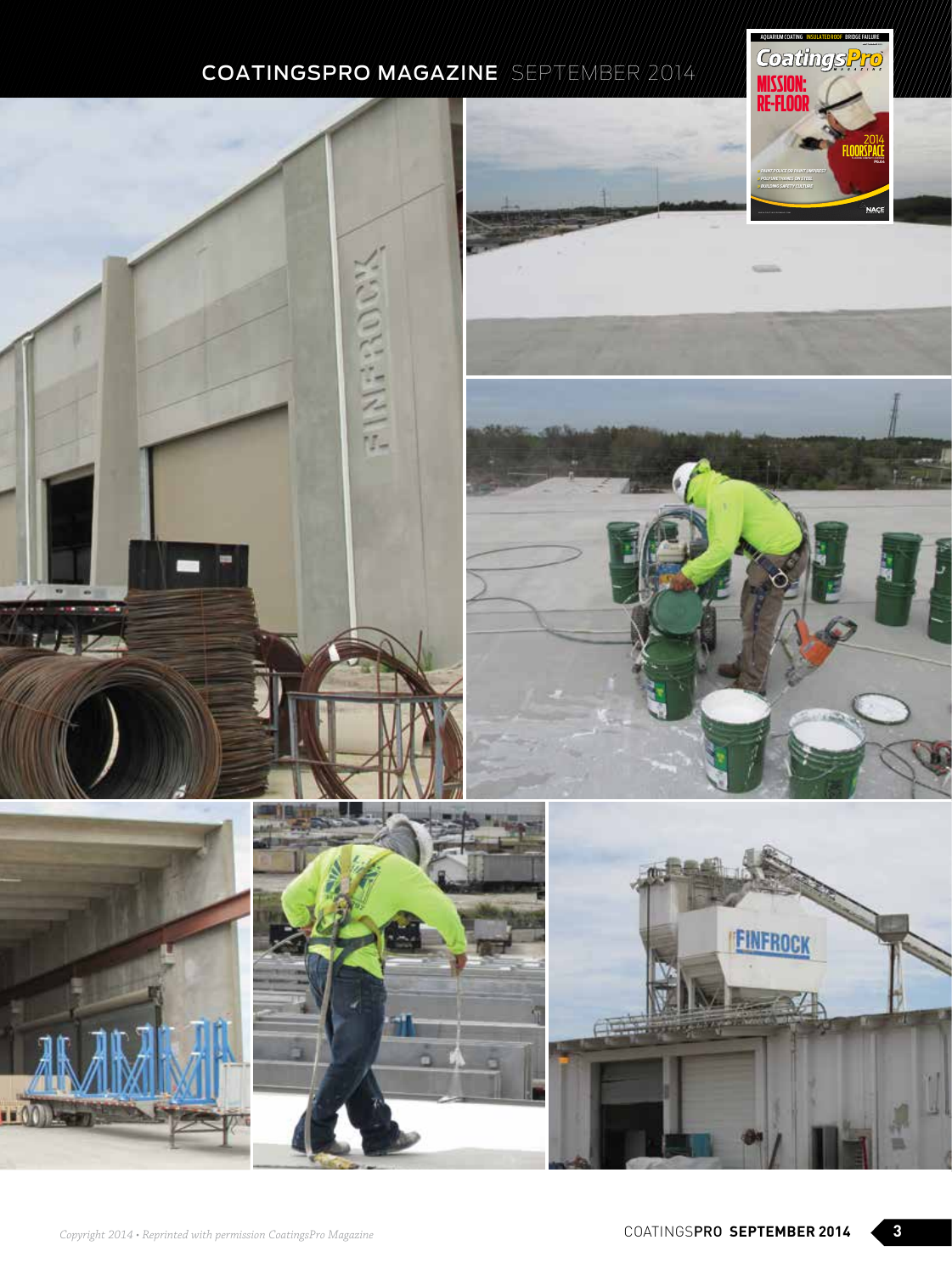





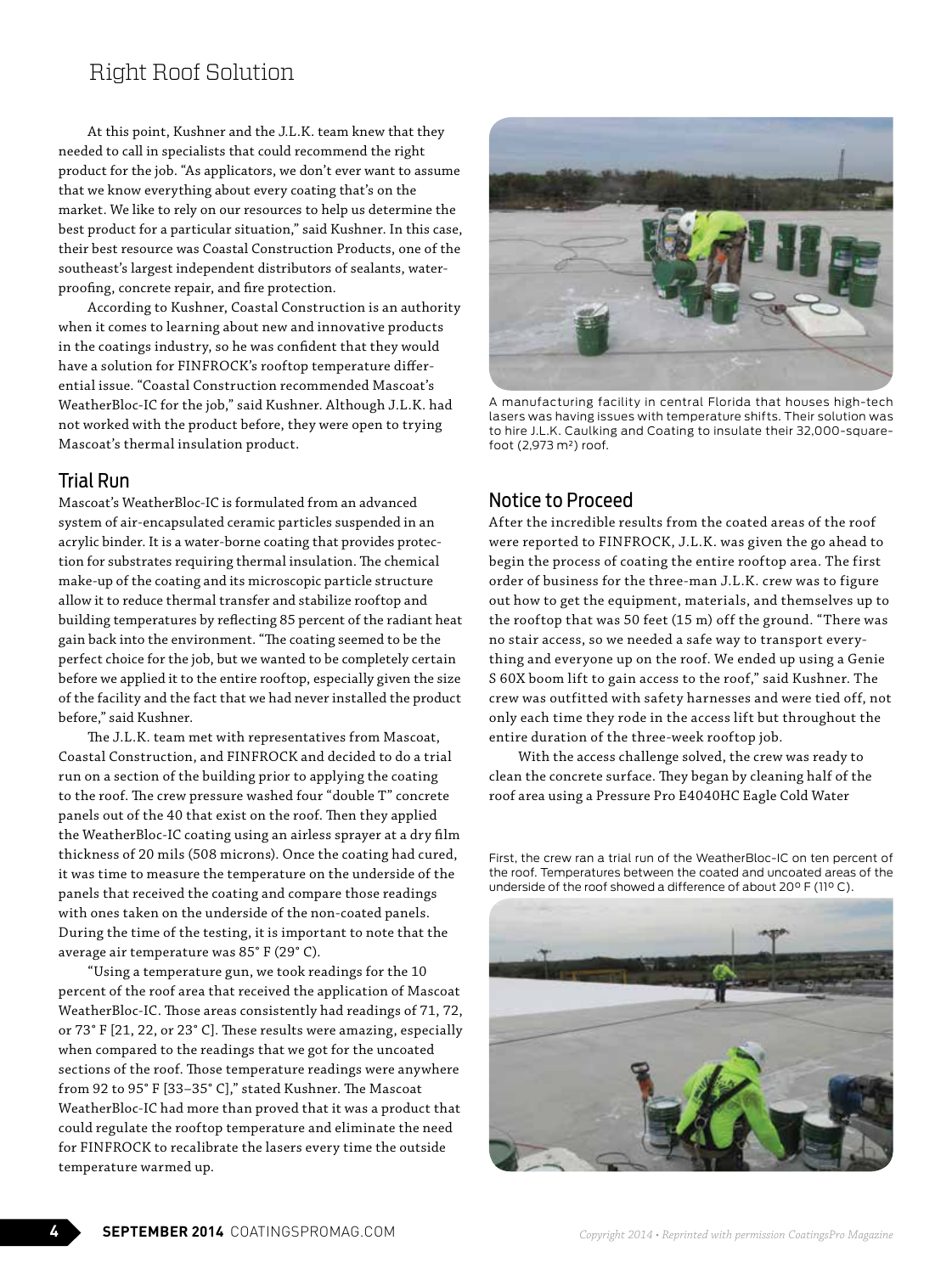## Right Roof Solution

At this point, Kushner and the J.L.K. team knew that they needed to call in specialists that could recommend the right product for the job. "As applicators, we don't ever want to assume that we know everything about every coating that's on the market. We like to rely on our resources to help us determine the best product for a particular situation," said Kushner. In this case, their best resource was Coastal Construction Products, one of the southeast's largest independent distributors of sealants, waterproofing, concrete repair, and fire protection.

According to Kushner, Coastal Construction is an authority when it comes to learning about new and innovative products in the coatings industry, so he was confident that they would have a solution for FINFROCK's rooftop temperature differential issue. "Coastal Construction recommended Mascoat's WeatherBloc-IC for the job," said Kushner. Although J.L.K. had not worked with the product before, they were open to trying Mascoat's thermal insulation product.

## Trial Run

Mascoat's WeatherBloc-IC is formulated from an advanced system of air-encapsulated ceramic particles suspended in an acrylic binder. It is a water-borne coating that provides protection for substrates requiring thermal insulation. The chemical make-up of the coating and its microscopic particle structure allow it to reduce thermal transfer and stabilize rooftop and building temperatures by reflecting 85 percent of the radiant heat gain back into the environment. "The coating seemed to be the perfect choice for the job, but we wanted to be completely certain before we applied it to the entire rooftop, especially given the size of the facility and the fact that we had never installed the product before," said Kushner.

The J.L.K. team met with representatives from Mascoat, Coastal Construction, and FINFROCK and decided to do a trial run on a section of the building prior to applying the coating to the roof. The crew pressure washed four "double T" concrete panels out of the 40 that exist on the roof. Then they applied the WeatherBloc-IC coating using an airless sprayer at a dry film thickness of 20 mils (508 microns). Once the coating had cured, it was time to measure the temperature on the underside of the panels that received the coating and compare those readings with ones taken on the underside of the non-coated panels. During the time of the testing, it is important to note that the average air temperature was 85° F (29° C).

"Using a temperature gun, we took readings for the 10 percent of the roof area that received the application of Mascoat WeatherBloc-IC. Those areas consistently had readings of 71, 72, or 73° F [21, 22, or 23° C]. These results were amazing, especially when compared to the readings that we got for the uncoated sections of the roof. Those temperature readings were anywhere from 92 to 95° F [33–35° C]," stated Kushner. The Mascoat WeatherBloc-IC had more than proved that it was a product that could regulate the rooftop temperature and eliminate the need for FINFROCK to recalibrate the lasers every time the outside temperature warmed up.



A manufacturing facility in central Florida that houses high-tech lasers was having issues with temperature shifts. Their solution was to hire J.L.K. Caulking and Coating to insulate their 32,000-squarefoot (2,973 m²) roof.

## Notice to Proceed

After the incredible results from the coated areas of the roof were reported to FINFROCK, J.L.K. was given the go ahead to begin the process of coating the entire rooftop area. The first order of business for the three-man J.L.K. crew was to figure out how to get the equipment, materials, and themselves up to the rooftop that was 50 feet (15 m) off the ground. "There was no stair access, so we needed a safe way to transport everything and everyone up on the roof. We ended up using a Genie S 60X boom lift to gain access to the roof," said Kushner. The crew was outfitted with safety harnesses and were tied off, not only each time they rode in the access lift but throughout the entire duration of the three-week rooftop job.

With the access challenge solved, the crew was ready to clean the concrete surface. They began by cleaning half of the roof area using a Pressure Pro E4040HC Eagle Cold Water

First, the crew ran a trial run of the WeatherBloc-IC on ten percent of the roof. Temperatures between the coated and uncoated areas of the underside of the roof showed a difference of about 20°F (11°C).

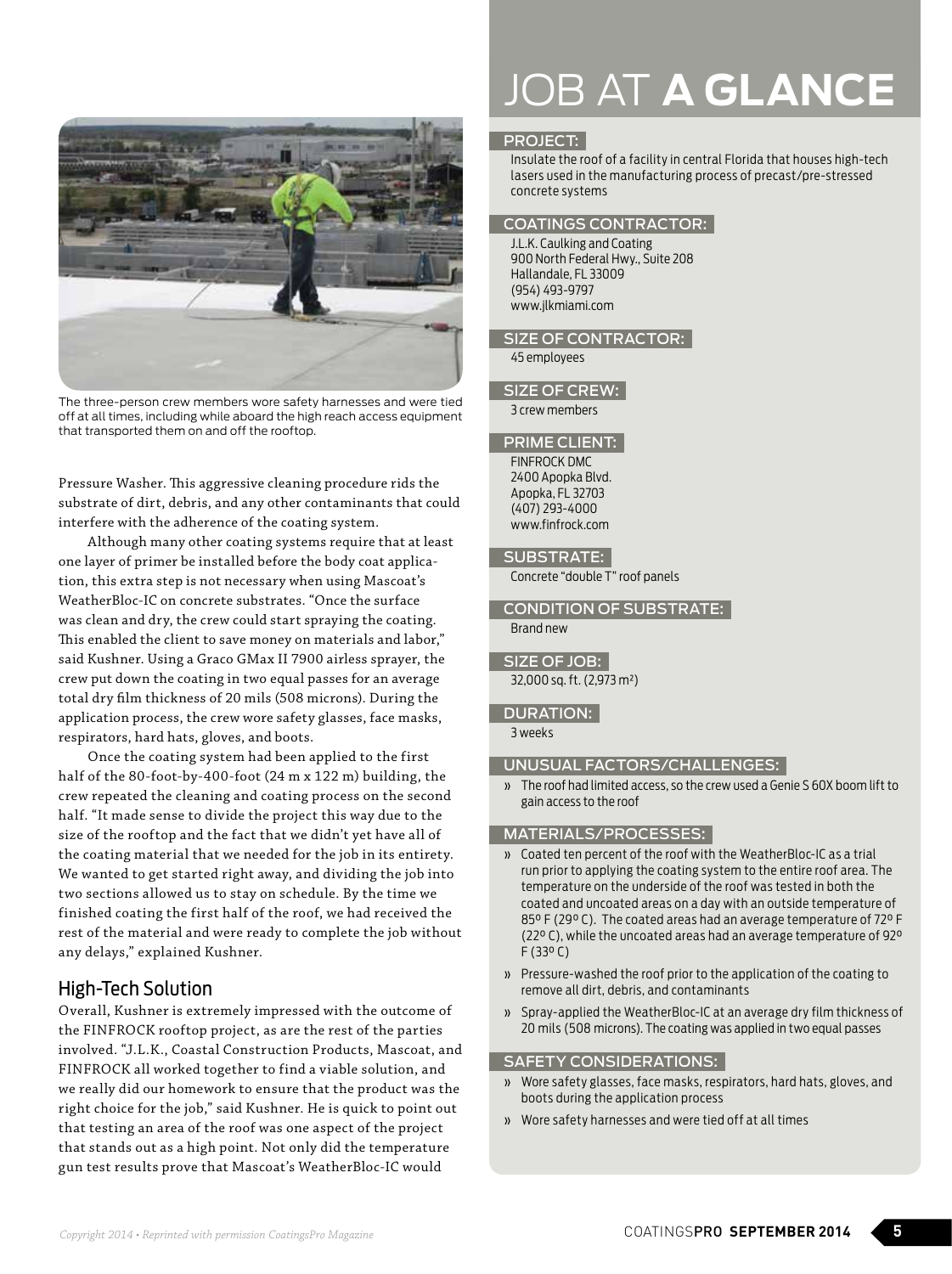

The three-person crew members wore safety harnesses and were tied off at all times, including while aboard the high reach access equipment that transported them on and off the rooftop.

Pressure Washer. This aggressive cleaning procedure rids the substrate of dirt, debris, and any other contaminants that could interfere with the adherence of the coating system.

Although many other coating systems require that at least one layer of primer be installed before the body coat application, this extra step is not necessary when using Mascoat's WeatherBloc-IC on concrete substrates. "Once the surface was clean and dry, the crew could start spraying the coating. This enabled the client to save money on materials and labor," said Kushner. Using a Graco GMax II 7900 airless sprayer, the crew put down the coating in two equal passes for an average total dry film thickness of 20 mils (508 microns). During the application process, the crew wore safety glasses, face masks, respirators, hard hats, gloves, and boots.

Once the coating system had been applied to the first half of the 80-foot-by-400-foot (24 m x 122 m) building, the crew repeated the cleaning and coating process on the second half. "It made sense to divide the project this way due to the size of the rooftop and the fact that we didn't yet have all of the coating material that we needed for the job in its entirety. We wanted to get started right away, and dividing the job into two sections allowed us to stay on schedule. By the time we finished coating the first half of the roof, we had received the rest of the material and were ready to complete the job without any delays," explained Kushner.

## High-Tech Solution

Overall, Kushner is extremely impressed with the outcome of the FINFROCK rooftop project, as are the rest of the parties involved. "J.L.K., Coastal Construction Products, Mascoat, and FINFROCK all worked together to find a viable solution, and we really did our homework to ensure that the product was the right choice for the job," said Kushner. He is quick to point out that testing an area of the roof was one aspect of the project that stands out as a high point. Not only did the temperature gun test results prove that Mascoat's WeatherBloc-IC would

# JOB AT **A GLANCE**

## PROJECT:

Insulate the roof of a facility in central Florida that houses high-tech lasers used in the manufacturing process of precast/pre-stressed concrete systems

## COATINGS CONTRACTOR:

J.L.K. Caulking and Coating 900 North Federal Hwy., Suite 208 Hallandale, FL 33009 (954) 493-9797 www.jlkmiami.com

## SIZE OF CONTRACTOR:

45 employees

## SIZE OF CREW:

3 crew members

## PRIME CLIENT:

FINFROCK DMC 2400 Apopka Blvd. Apopka, FL 32703 (407) 293-4000 www.finfrock.com

## SUBSTRATE:

Concrete "double T" roof panels

## CONDITION OF SUBSTRATE: Brand new

## SIZE OF JOB:

32,000 sq. ft. (2,973 m²)

## DURATION:

3 weeks

## UNUSUAL FACTORS/CHALLENGES:

» The roof had limited access, so the crew used a Genie S 60X boom lift to gain access to the roof

## MATERIALS/PROCESSES:

- » Coated ten percent of the roof with the WeatherBloc-IC as a trial run prior to applying the coating system to the entire roof area. The temperature on the underside of the roof was tested in both the coated and uncoated areas on a day with an outside temperature of 85° F (29° C). The coated areas had an average temperature of 72° F (22° C), while the uncoated areas had an average temperature of 92° F (33° C)
- » Pressure-washed the roof prior to the application of the coating to remove all dirt, debris, and contaminants
- » Spray-applied the WeatherBloc-IC at an average dry film thickness of 20 mils (508 microns). The coating was applied in two equal passes

## SAFETY CONSIDERATIONS:

- » Wore safety glasses, face masks, respirators, hard hats, gloves, and boots during the application process
- » Wore safety harnesses and were tied off at all times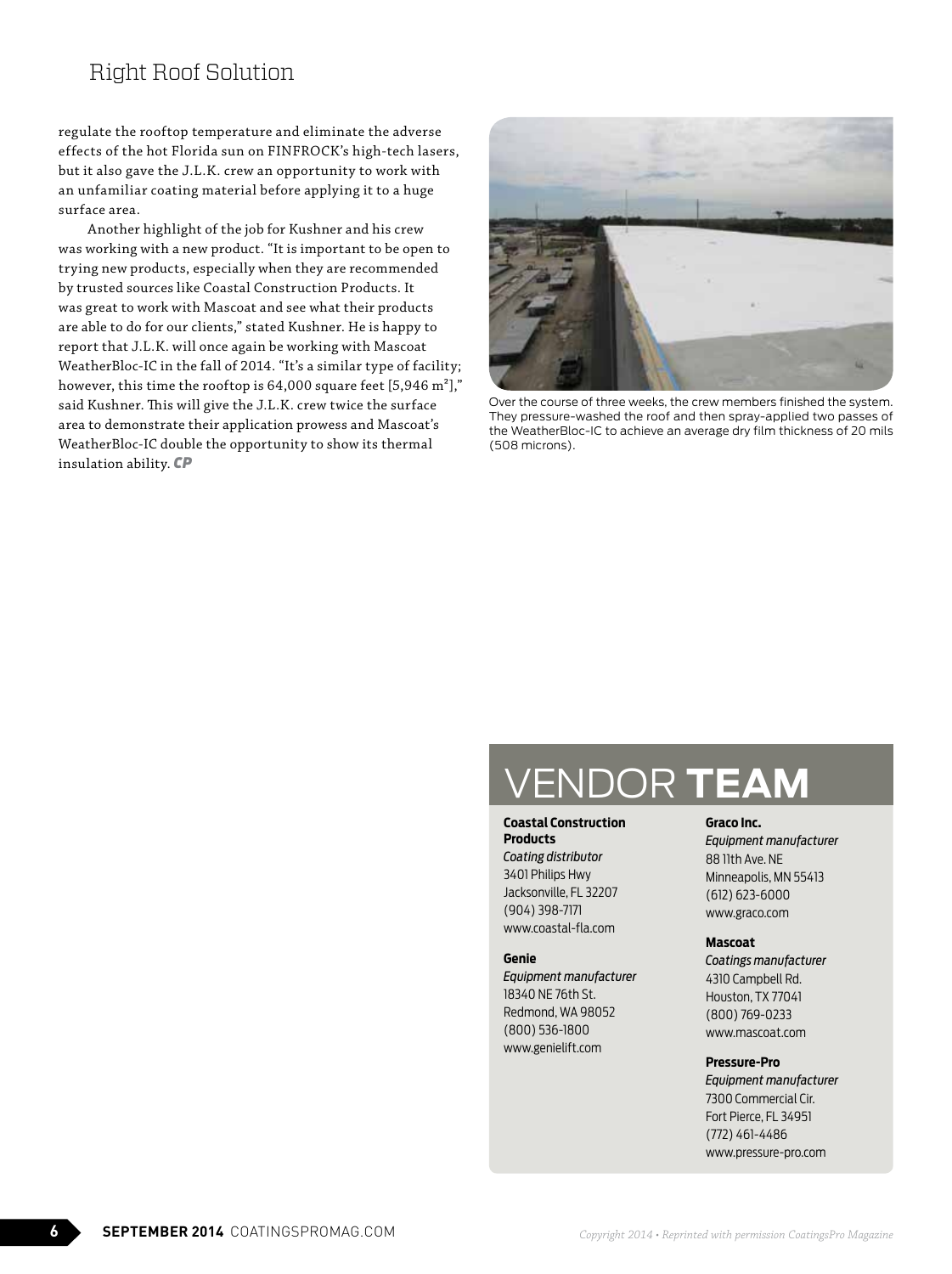## Right Roof Solution

regulate the rooftop temperature and eliminate the adverse effects of the hot Florida sun on FINFROCK's high-tech lasers, but it also gave the J.L.K. crew an opportunity to work with an unfamiliar coating material before applying it to a huge surface area.

Another highlight of the job for Kushner and his crew was working with a new product. "It is important to be open to trying new products, especially when they are recommended by trusted sources like Coastal Construction Products. It was great to work with Mascoat and see what their products are able to do for our clients," stated Kushner. He is happy to report that J.L.K. will once again be working with Mascoat WeatherBloc-IC in the fall of 2014. "It's a similar type of facility; however, this time the rooftop is  $64,000$  square feet [5,946 m<sup>2</sup>]," said Kushner. This will give the J.L.K. crew twice the surface area to demonstrate their application prowess and Mascoat's WeatherBloc-IC double the opportunity to show its thermal insulation ability. *CP*



Over the course of three weeks, the crew members finished the system. They pressure-washed the roof and then spray-applied two passes of the WeatherBloc-IC to achieve an average dry film thickness of 20 mils (508 microns).

# VENDOR **TEAM**

**Coastal Construction Products**

*Coating distributor*  3401 Philips Hwy Jacksonville, FL 32207 (904) 398-7171 www.coastal-fla.com

#### **Genie**

*Equipment manufacturer* 18340 NE 76th St. Redmond, WA 98052 (800) 536-1800 www.genielift.com

#### **Graco Inc.**

*Equipment manufacturer* 88 11th Ave. NE Minneapolis, MN 55413 (612) 623-6000 www.graco.com

#### **Mascoat**

*Coatings manufacturer*  4310 Campbell Rd. Houston, TX 77041 (800) 769-0233 www.mascoat.com

#### **Pressure-Pro**

*Equipment manufacturer* 7300 Commercial Cir. Fort Pierce, FL 34951 (772) 461-4486 www.pressure-pro.com